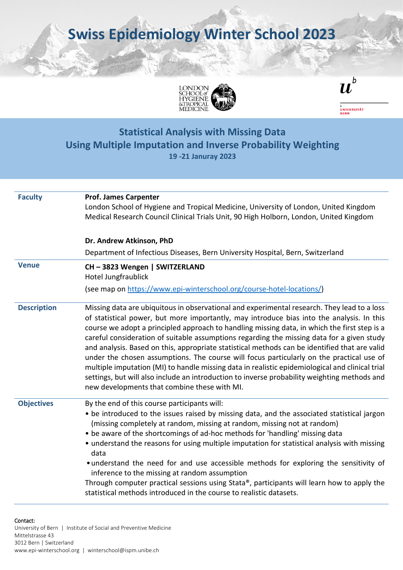**Swiss Epidemiology Winter School 2023**





 $\boldsymbol{u}^{\textit{b}}$ 

**Using Multiple Imputation and Inverse Probability Weighting**

**19 -21 Januray 2023**

| <b>Faculty</b>     | <b>Prof. James Carpenter</b><br>London School of Hygiene and Tropical Medicine, University of London, United Kingdom<br>Medical Research Council Clinical Trials Unit, 90 High Holborn, London, United Kingdom                                                                                                                                                                                                                                                                                                                                                                                                                                                                                                                                                                                                                         |  |  |
|--------------------|----------------------------------------------------------------------------------------------------------------------------------------------------------------------------------------------------------------------------------------------------------------------------------------------------------------------------------------------------------------------------------------------------------------------------------------------------------------------------------------------------------------------------------------------------------------------------------------------------------------------------------------------------------------------------------------------------------------------------------------------------------------------------------------------------------------------------------------|--|--|
|                    | Dr. Andrew Atkinson, PhD<br>Department of Infectious Diseases, Bern University Hospital, Bern, Switzerland                                                                                                                                                                                                                                                                                                                                                                                                                                                                                                                                                                                                                                                                                                                             |  |  |
|                    |                                                                                                                                                                                                                                                                                                                                                                                                                                                                                                                                                                                                                                                                                                                                                                                                                                        |  |  |
| <b>Venue</b>       | CH-3823 Wengen   SWITZERLAND<br>Hotel Jungfraublick                                                                                                                                                                                                                                                                                                                                                                                                                                                                                                                                                                                                                                                                                                                                                                                    |  |  |
|                    | (see map on https://www.epi-winterschool.org/course-hotel-locations/)                                                                                                                                                                                                                                                                                                                                                                                                                                                                                                                                                                                                                                                                                                                                                                  |  |  |
| <b>Description</b> | Missing data are ubiquitous in observational and experimental research. They lead to a loss<br>of statistical power, but more importantly, may introduce bias into the analysis. In this<br>course we adopt a principled approach to handling missing data, in which the first step is a<br>careful consideration of suitable assumptions regarding the missing data for a given study<br>and analysis. Based on this, appropriate statistical methods can be identified that are valid<br>under the chosen assumptions. The course will focus particularly on the practical use of<br>multiple imputation (MI) to handle missing data in realistic epidemiological and clinical trial<br>settings, but will also include an introduction to inverse probability weighting methods and<br>new developments that combine these with MI. |  |  |
| <b>Objectives</b>  | By the end of this course participants will:<br>• be introduced to the issues raised by missing data, and the associated statistical jargon<br>(missing completely at random, missing at random, missing not at random)<br>• be aware of the shortcomings of ad-hoc methods for 'handling' missing data<br>• understand the reasons for using multiple imputation for statistical analysis with missing<br>data<br>• understand the need for and use accessible methods for exploring the sensitivity of<br>inference to the missing at random assumption<br>Through computer practical sessions using Stata®, participants will learn how to apply the<br>statistical methods introduced in the course to realistic datasets.                                                                                                         |  |  |